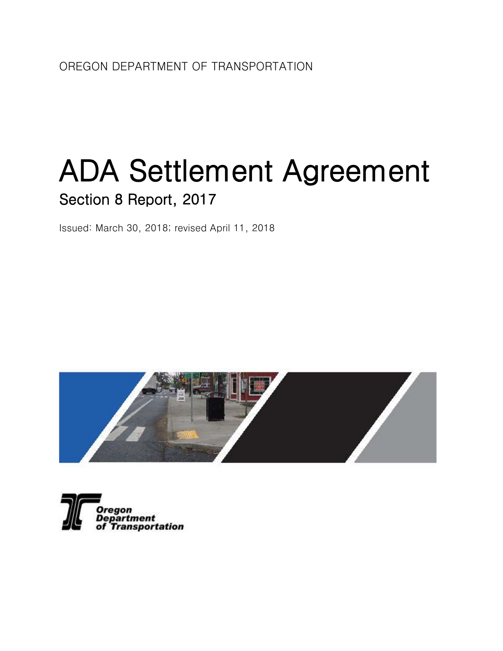# ADA Settlement Agreement Section 8 Report, 2017

Issued: March 30, 2018; revised April 11, 2018



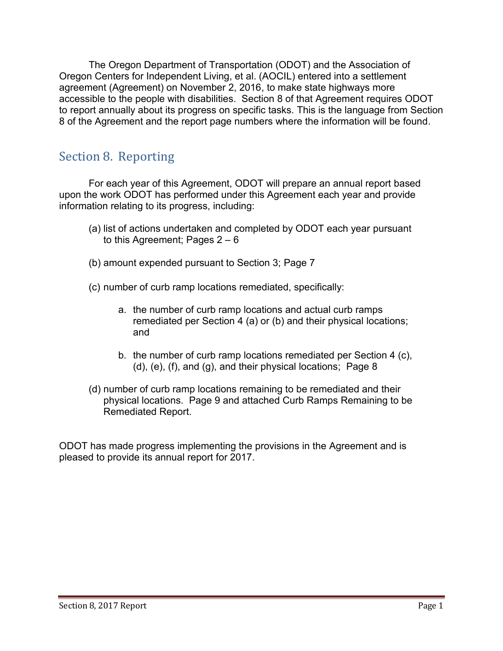The Oregon Department of Transportation (ODOT) and the Association of Oregon Centers for Independent Living, et al. (AOCIL) entered into a settlement agreement (Agreement) on November 2, 2016, to make state highways more accessible to the people with disabilities. Section 8 of that Agreement requires ODOT to report annually about its progress on specific tasks. This is the language from Section 8 of the Agreement and the report page numbers where the information will be found.

# Section 8. Reporting

For each year of this Agreement, ODOT will prepare an annual report based upon the work ODOT has performed under this Agreement each year and provide information relating to its progress, including:

- (a) list of actions undertaken and completed by ODOT each year pursuant to this Agreement; Pages  $2 - 6$
- (b) amount expended pursuant to Section 3; Page 7
- (c) number of curb ramp locations remediated, specifically:
	- a. the number of curb ramp locations and actual curb ramps remediated per Section 4 (a) or (b) and their physical locations; and
	- b. the number of curb ramp locations remediated per Section 4 (c), (d), (e), (f), and (g), and their physical locations; Page 8
- (d) number of curb ramp locations remaining to be remediated and their physical locations. Page 9 and attached Curb Ramps Remaining to be Remediated Report.

ODOT has made progress implementing the provisions in the Agreement and is pleased to provide its annual report for 2017.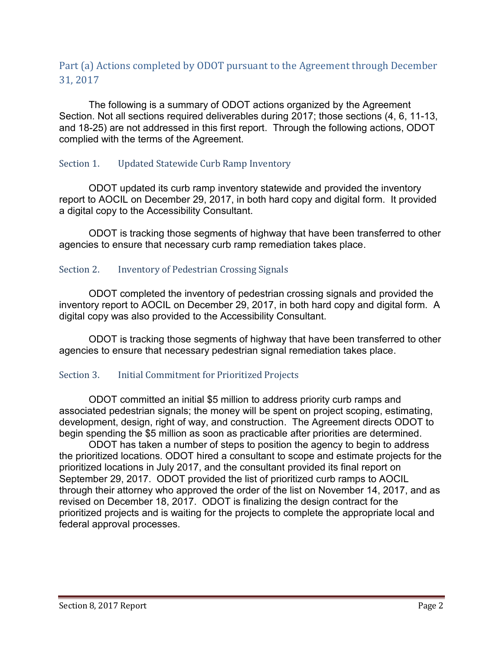# Part (a) Actions completed by ODOT pursuant to the Agreement through December 31, 2017

The following is a summary of ODOT actions organized by the Agreement Section. Not all sections required deliverables during 2017; those sections (4, 6, 11-13, and 18-25) are not addressed in this first report. Through the following actions, ODOT complied with the terms of the Agreement.

# Section 1. Updated Statewide Curb Ramp Inventory

ODOT updated its curb ramp inventory statewide and provided the inventory report to AOCIL on December 29, 2017, in both hard copy and digital form. It provided a digital copy to the Accessibility Consultant.

ODOT is tracking those segments of highway that have been transferred to other agencies to ensure that necessary curb ramp remediation takes place.

# Section 2. Inventory of Pedestrian Crossing Signals

ODOT completed the inventory of pedestrian crossing signals and provided the inventory report to AOCIL on December 29, 2017, in both hard copy and digital form. A digital copy was also provided to the Accessibility Consultant.

ODOT is tracking those segments of highway that have been transferred to other agencies to ensure that necessary pedestrian signal remediation takes place.

# Section 3. Initial Commitment for Prioritized Projects

ODOT committed an initial \$5 million to address priority curb ramps and associated pedestrian signals; the money will be spent on project scoping, estimating, development, design, right of way, and construction. The Agreement directs ODOT to begin spending the \$5 million as soon as practicable after priorities are determined.

ODOT has taken a number of steps to position the agency to begin to address the prioritized locations. ODOT hired a consultant to scope and estimate projects for the prioritized locations in July 2017, and the consultant provided its final report on September 29, 2017. ODOT provided the list of prioritized curb ramps to AOCIL through their attorney who approved the order of the list on November 14, 2017, and as revised on December 18, 2017. ODOT is finalizing the design contract for the prioritized projects and is waiting for the projects to complete the appropriate local and federal approval processes.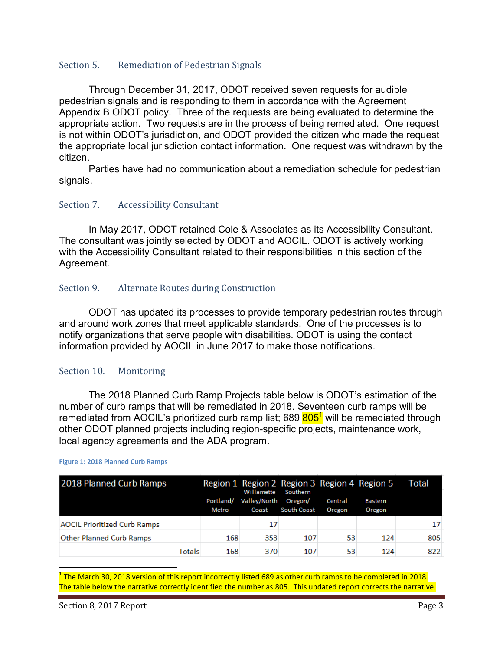## Section 5. Remediation of Pedestrian Signals

Through December 31, 2017, ODOT received seven requests for audible pedestrian signals and is responding to them in accordance with the Agreement Appendix B ODOT policy. Three of the requests are being evaluated to determine the appropriate action. Two requests are in the process of being remediated. One request is not within ODOT's jurisdiction, and ODOT provided the citizen who made the request the appropriate local jurisdiction contact information. One request was withdrawn by the citizen.

Parties have had no communication about a remediation schedule for pedestrian signals.

## Section 7. Accessibility Consultant

In May 2017, ODOT retained Cole & Associates as its Accessibility Consultant. The consultant was jointly selected by ODOT and AOCIL. ODOT is actively working with the Accessibility Consultant related to their responsibilities in this section of the Agreement.

## Section 9. Alternate Routes during Construction

ODOT has updated its processes to provide temporary pedestrian routes through and around work zones that meet applicable standards. One of the processes is to notify organizations that serve people with disabilities. ODOT is using the contact information provided by AOCIL in June 2017 to make those notifications.

### Section 10. Monitoring

The 2018 Planned Curb Ramp Projects table below is ODOT's estimation of the number of curb ramps that will be remediated in 2018. Seventeen curb ramps will be remediated from AOCIL's prioritized curb ramp list; 689 805<sup>1</sup> will be remediated through other ODOT planned projects including region-specific projects, maintenance work, local agency agreements and the ADA program.

| 2018 Planned Curb Ramps             |           | <b>Willamette</b> | Region 1 Region 2 Region 3 Region 4 Region 5<br>Southern |         |         | Total |
|-------------------------------------|-----------|-------------------|----------------------------------------------------------|---------|---------|-------|
|                                     | Portland/ | Valley/North      | Oregon/                                                  | Central | Eastern |       |
|                                     | Metro     | Coast             | South Coast                                              | Oregon  | Oregon  |       |
| <b>AOCIL Prioritized Curb Ramps</b> |           | 17                |                                                          |         |         | 17    |
| <b>Other Planned Curb Ramps</b>     | 168       | 353               | 107                                                      | 53      | 124     | 805   |
| Totals                              | 168       | 370               | 107                                                      | 53      | 124     | 822   |

#### **Figure 1: 2018 Planned Curb Ramps**

l  $^1$  The March 30, 2018 version of this report incorrectly listed 689 as other curb ramps to be completed in 2018. The table below the narrative correctly identified the number as 805. This updated report corrects the narrative.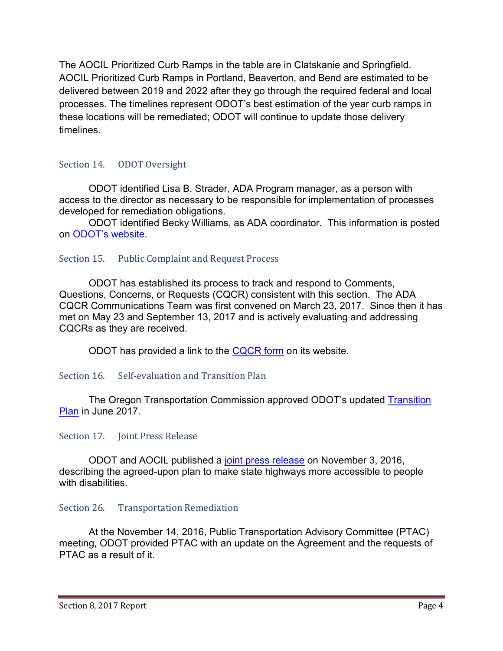The AOCIL Prioritized Curb Ramps in the table are in Clatskanie and Springfield. AOCIL Prioritized Curb Ramps in Portland, Beaverton, and Bend are estimated to be delivered between 2019 and 2022 after they go through the required federal and local processes. The timelines represent ODOT's best estimation of the year curb ramps in these locations will be remediated; ODOT will continue to update those delivery timelines.

# Section 14. ODOT Oversight

ODOT identified Lisa B. Strader, ADA Program manager, as a person with access to the director as necessary to be responsible for implementation of processes developed for remediation obligations.

ODOT identified Becky Williams, as ADA coordinator. This information is posted on [ODOT's website](http://www.oregon.gov/ODOT/About/Pages/ADA.aspx).

# Section 15. Public Complaint and Request Process

ODOT has established its process to track and respond to Comments, Questions, Concerns, or Requests (CQCR) consistent with this section. The ADA CQCR Communications Team was first convened on March 23, 2017. Since then it has met on May 23 and September 13, 2017 and is actively evaluating and addressing CQCRs as they are received.

ODOT has provided a link to the [CQCR form](http://www.oregon.gov/ODOT/About/Pages/ADA-Issue-Request-Form.aspx) on its website.

# Section 16. Self-evaluation and Transition Plan

The Oregon Transportation Commission approved ODOT's updated [Transition](http://www.oregon.gov/ODOT/Business/OCR/Documents/Final%20ADA%20Transition%20Plan%202017.pdf)  [Plan](http://www.oregon.gov/ODOT/Business/OCR/Documents/Final%20ADA%20Transition%20Plan%202017.pdf) in June 2017.

# Section 17. Joint Press Release

ODOT and AOCIL published a [joint press release](http://www.oregon.gov/ODOT/About/Documents/18-030_ODOT_ADA_Annual_Report.pdf) on November 3, 2016, describing the agreed-upon plan to make state highways more accessible to people with disabilities.

# Section 26. Transportation Remediation

At the November 14, 2016, Public Transportation Advisory Committee (PTAC) meeting, ODOT provided PTAC with an update on the Agreement and the requests of PTAC as a result of it.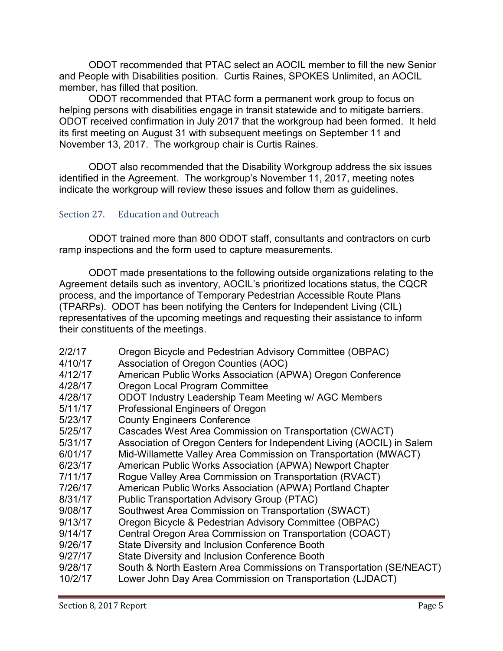ODOT recommended that PTAC select an AOCIL member to fill the new Senior and People with Disabilities position. Curtis Raines, SPOKES Unlimited, an AOCIL member, has filled that position.

ODOT recommended that PTAC form a permanent work group to focus on helping persons with disabilities engage in transit statewide and to mitigate barriers. ODOT received confirmation in July 2017 that the workgroup had been formed. It held its first meeting on August 31 with subsequent meetings on September 11 and November 13, 2017. The workgroup chair is Curtis Raines.

ODOT also recommended that the Disability Workgroup address the six issues identified in the Agreement. The workgroup's November 11, 2017, meeting notes indicate the workgroup will review these issues and follow them as guidelines.

# Section 27. Education and Outreach

ODOT trained more than 800 ODOT staff, consultants and contractors on curb ramp inspections and the form used to capture measurements.

ODOT made presentations to the following outside organizations relating to the Agreement details such as inventory, AOCIL's prioritized locations status, the CQCR process, and the importance of Temporary Pedestrian Accessible Route Plans (TPARPs). ODOT has been notifying the Centers for Independent Living (CIL) representatives of the upcoming meetings and requesting their assistance to inform their constituents of the meetings.

| 2/2/17  | Oregon Bicycle and Pedestrian Advisory Committee (OBPAC)              |
|---------|-----------------------------------------------------------------------|
| 4/10/17 | Association of Oregon Counties (AOC)                                  |
| 4/12/17 | American Public Works Association (APWA) Oregon Conference            |
| 4/28/17 | Oregon Local Program Committee                                        |
| 4/28/17 | ODOT Industry Leadership Team Meeting w/ AGC Members                  |
| 5/11/17 | Professional Engineers of Oregon                                      |
| 5/23/17 | <b>County Engineers Conference</b>                                    |
| 5/25/17 | Cascades West Area Commission on Transportation (CWACT)               |
| 5/31/17 | Association of Oregon Centers for Independent Living (AOCIL) in Salem |
| 6/01/17 | Mid-Willamette Valley Area Commission on Transportation (MWACT)       |
| 6/23/17 | American Public Works Association (APWA) Newport Chapter              |
| 7/11/17 | Rogue Valley Area Commission on Transportation (RVACT)                |
| 7/26/17 | American Public Works Association (APWA) Portland Chapter             |
| 8/31/17 | <b>Public Transportation Advisory Group (PTAC)</b>                    |
| 9/08/17 | Southwest Area Commission on Transportation (SWACT)                   |
| 9/13/17 | Oregon Bicycle & Pedestrian Advisory Committee (OBPAC)                |
| 9/14/17 | Central Oregon Area Commission on Transportation (COACT)              |
| 9/26/17 | State Diversity and Inclusion Conference Booth                        |
| 9/27/17 | State Diversity and Inclusion Conference Booth                        |
| 9/28/17 | South & North Eastern Area Commissions on Transportation (SE/NEACT)   |
| 10/2/17 | Lower John Day Area Commission on Transportation (LJDACT)             |
|         |                                                                       |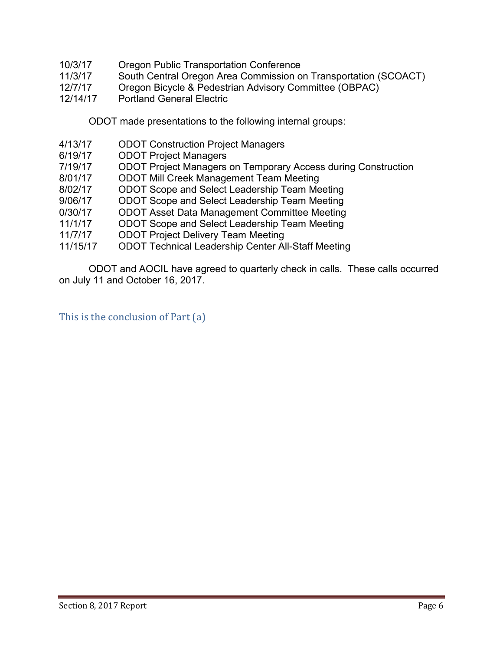- 10/3/17 Oregon Public Transportation Conference
- 11/3/17 South Central Oregon Area Commission on Transportation (SCOACT)
- 12/7/17 Oregon Bicycle & Pedestrian Advisory Committee (OBPAC)
- 12/14/17 Portland General Electric

ODOT made presentations to the following internal groups:

- 4/13/17 ODOT Construction Project Managers
- 6/19/17 ODOT Project Managers
- 7/19/17 ODOT Project Managers on Temporary Access during Construction
- 8/01/17 ODOT Mill Creek Management Team Meeting
- 8/02/17 ODOT Scope and Select Leadership Team Meeting
- 9/06/17 ODOT Scope and Select Leadership Team Meeting
- 0/30/17 ODOT Asset Data Management Committee Meeting
- 11/1/17 ODOT Scope and Select Leadership Team Meeting
- 11/7/17 ODOT Project Delivery Team Meeting
- 11/15/17 ODOT Technical Leadership Center All-Staff Meeting

ODOT and AOCIL have agreed to quarterly check in calls. These calls occurred on July 11 and October 16, 2017.

This is the conclusion of Part (a)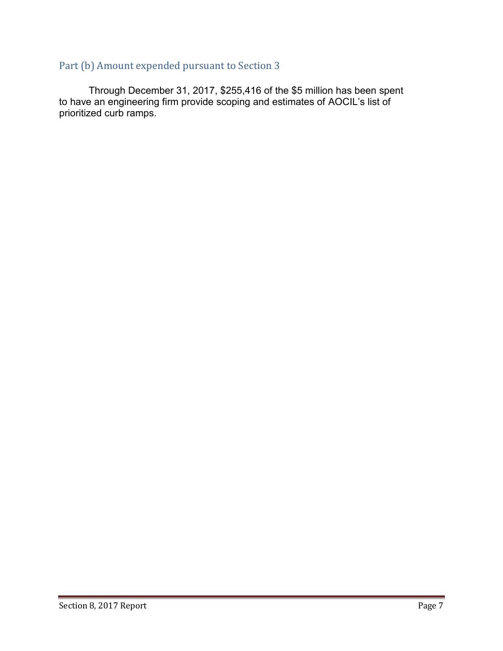# Part (b) Amount expended pursuant to Section 3

Through December 31, 2017, \$255,416 of the \$5 million has been spent to have an engineering firm provide scoping and estimates of AOCIL's list of prioritized curb ramps.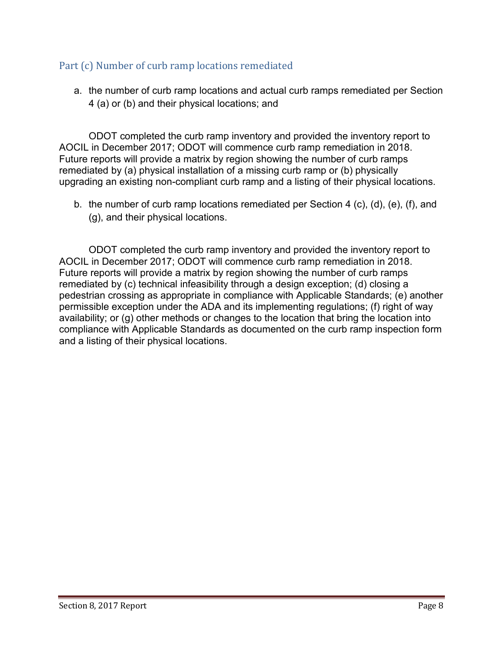# Part (c) Number of curb ramp locations remediated

a. the number of curb ramp locations and actual curb ramps remediated per Section 4 (a) or (b) and their physical locations; and

ODOT completed the curb ramp inventory and provided the inventory report to AOCIL in December 2017; ODOT will commence curb ramp remediation in 2018. Future reports will provide a matrix by region showing the number of curb ramps remediated by (a) physical installation of a missing curb ramp or (b) physically upgrading an existing non-compliant curb ramp and a listing of their physical locations.

b. the number of curb ramp locations remediated per Section 4 (c), (d), (e), (f), and (g), and their physical locations.

ODOT completed the curb ramp inventory and provided the inventory report to AOCIL in December 2017; ODOT will commence curb ramp remediation in 2018. Future reports will provide a matrix by region showing the number of curb ramps remediated by (c) technical infeasibility through a design exception; (d) closing a pedestrian crossing as appropriate in compliance with Applicable Standards; (e) another permissible exception under the ADA and its implementing regulations; (f) right of way availability; or (g) other methods or changes to the location that bring the location into compliance with Applicable Standards as documented on the curb ramp inspection form and a listing of their physical locations.